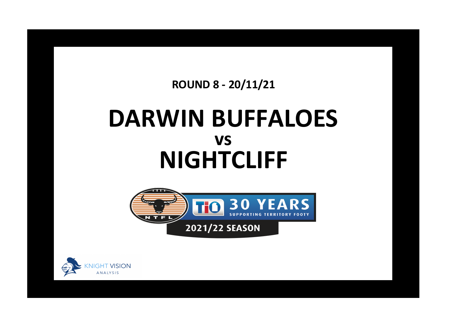**ROUND 8 - 20/11/21**

## **DARWIN BUFFALOES NIGHTCLIFF vs**



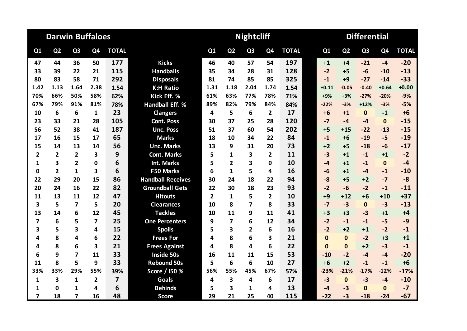|                         | <b>Darwin Buffaloes</b> |                         |                         |                         |                          |                |                | <b>Nightcliff</b> |                |              | <b>Differential</b> |                |                |                |              |  |  |
|-------------------------|-------------------------|-------------------------|-------------------------|-------------------------|--------------------------|----------------|----------------|-------------------|----------------|--------------|---------------------|----------------|----------------|----------------|--------------|--|--|
| Q1                      | Q <sub>2</sub>          | Q <sub>3</sub>          | Q <sub>4</sub>          | <b>TOTAL</b>            |                          | Q1             | Q <sub>2</sub> | Q <sub>3</sub>    | Q <sub>4</sub> | <b>TOTAL</b> | Q1                  | Q <sub>2</sub> | Q <sub>3</sub> | Q <sub>4</sub> | <b>TOTAL</b> |  |  |
| 47                      | 44                      | 36                      | 50                      | 177                     | <b>Kicks</b>             | 46             | 40             | 57                | 54             | 197          | $+1$                | $+4$           | $-21$          | $-4$           | $-20$        |  |  |
| 33                      | 39                      | 22                      | 21                      | 115                     | <b>Handballs</b>         | 35             | 34             | 28                | 31             | 128          | $-2$                | $+5$           | $-6$           | -10            | $-13$        |  |  |
| 80                      | 83                      | 58                      | 71                      | 292                     | <b>Disposals</b>         | 81             | 74             | 85                | 85             | 325          | $-1$                | $+9$           | $-27$          | $-14$          | $-33$        |  |  |
| 1.42                    | 1.13                    | 1.64                    | 2.38                    | 1.54                    | <b>K:H Ratio</b>         | 1.31           | 1.18           | 2.04              | 1.74           | 1.54         | $+0.11$             | $-0.05$        | $-0.40$        | $+0.64$        | $+0.00$      |  |  |
| 70%                     | 66%                     | 50%                     | 58%                     | 62%                     | Kick Eff. %              | 61%            | 63%            | 77%               | 78%            | 71%          | $+9%$               | $+3%$          | $-27%$         | $-20%$         | $-9%$        |  |  |
| 67%                     | 79%                     | 91%                     | 81%                     | 78%                     | <b>Handball Eff. %</b>   | 89%            | 82%            | 79%               | 84%            | 84%          | $-22%$              | $-3%$          | $+12%$         | $-3%$          | $-5%$        |  |  |
| 10                      | 6                       | 6                       | $\mathbf{1}$            | 23                      | <b>Clangers</b>          | 4              | 5              | 6                 | $\overline{2}$ | 17           | $+6$                | $+1$           | $\mathbf{0}$   | $-1$           | $+6$         |  |  |
| 23                      | 33                      | 21                      | 28                      | 105                     | <b>Cont. Poss</b>        | 30             | 37             | 25                | 28             | 120          | $-7$                | $-4$           | $-4$           | $\mathbf{0}$   | $-15$        |  |  |
| 56                      | 52                      | 38                      | 41                      | 187                     | <b>Unc. Poss</b>         | 51             | 37             | 60                | 54             | 202          | $+5$                | $+15$          | $-22$          | $-13$          | $-15$        |  |  |
| 17                      | 16                      | 15                      | 17                      | 65                      | <b>Marks</b>             | 18             | 10             | 34                | 22             | 84           | $-1$                | $+6$           | $-19$          | $-5$           | $-19$        |  |  |
| 15                      | 14                      | 13                      | 14                      | 56                      | <b>Unc. Marks</b>        | 13             | 9              | 31                | 20             | 73           | $+2$                | $+5$           | $-18$          | $-6$           | $-17$        |  |  |
| $\overline{2}$          | $\overline{2}$          | $\overline{2}$          | 3                       | 9                       | <b>Cont. Marks</b>       | 5              | 1              | 3                 | $\mathbf{2}$   | 11           | $-3$                | $+1$           | $-1$           | $+1$           | $-2$         |  |  |
| 1                       | 3                       | $\overline{2}$          | 0                       | 6                       | <b>Int. Marks</b>        | 5              | $\overline{2}$ | 3                 | 0              | 10           | -4                  | $+1$           | $-1$           | $\mathbf{0}$   | $-4$         |  |  |
| 0                       | $\overline{2}$          | 1                       | 3                       | 6                       | <b>F50 Marks</b>         | 6              | $\mathbf{1}$   | 5                 | 4              | 16           | $-6$                | $+1$           | $-4$           | $-1$           | $-10$        |  |  |
| 22                      | 29                      | 20                      | 15                      | 86                      | <b>Handball Receives</b> | 30             | 24             | 18                | 22             | 94           | $-8$                | $+5$           | $+2$           | $-7$           | $-8$         |  |  |
| 20                      | 24                      | 16                      | 22                      | 82                      | <b>Groundball Gets</b>   | 22             | 30             | 18                | 23             | 93           | $-2$                | $-6$           | $-2$           | $-1$           | $-11$        |  |  |
| 11                      | 13                      | 11                      | 12                      | 47                      | <b>Hitouts</b>           | $\overline{2}$ | $\mathbf{1}$   | 5                 | $\overline{2}$ | 10           | $+9$                | $+12$          | $+6$           | $+10$          | $+37$        |  |  |
| 3                       | 5                       | $\overline{\mathbf{z}}$ | 5                       | 20                      | <b>Clearances</b>        | 10             | 8              | 7                 | 8              | 33           | $-7$                | $-3$           | $\mathbf{0}$   | $-3$           | $-13$        |  |  |
| 13                      | 14                      | 6                       | 12                      | 45                      | <b>Tackles</b>           | 10             | 11             | 9                 | 11             | 41           | $+3$                | $+3$           | $-3$           | $+1$           | $+4$         |  |  |
| $\overline{\mathbf{z}}$ | 6                       | 5                       | $\overline{\mathbf{z}}$ | 25                      | <b>One Percenters</b>    | 9              | $\overline{7}$ | 6                 | 12             | 34           | $-2$                | $-1$           | $-1$           | $-5$           | $-9$         |  |  |
| 3                       | 5                       | 3                       | 4                       | 15                      | <b>Spoils</b>            | 5              | 3              | $\overline{2}$    | 6              | 16           | $-2$                | $+2$           | $+1$           | $-2$           | $-1$         |  |  |
| 4                       | 8                       | 4                       | 6                       | 22                      | <b>Frees For</b>         | 4              | 8              | 6                 | 3              | 21           | $\mathbf{0}$        | $\Omega$       | $-2$           | $+3$           | $+1$         |  |  |
| 4                       | 8                       | 6                       | 3                       | 21                      | <b>Frees Against</b>     | 4              | 8              | 4                 | 6              | 22           | $\mathbf{0}$        | $\Omega$       | $+2$           | $-3$           | $-1$         |  |  |
| 6                       | 9                       | $\overline{7}$          | 11                      | 33                      | <b>Inside 50s</b>        | 16             | 11             | 11                | 15             | 53           | $-10$               | $-2$           | $-4$           | $-4$           | $-20$        |  |  |
| 11                      | 8                       | 5                       | 9                       | 33                      | <b>Rebound 50s</b>       | 5              | 6              | 6                 | 10             | 27           | $+6$                | $+2$           | $-1$           | $-1$           | $+6$         |  |  |
| 33%                     | 33%                     | 29%                     | 55%                     | 39%                     | Score / 150 %            | 56%            | 55%            | 45%               | 67%            | 57%          | $-23%$              | $-21%$         | $-17%$         | $-12%$         | $-17%$       |  |  |
| 1                       | 3                       | 1                       | $\overline{2}$          | $\overline{\mathbf{z}}$ | <b>Goals</b>             | 4              | 3              | 4                 | 6              | 17           | $-3$                | $\mathbf{0}$   | $-3$           | $-4$           | $-10$        |  |  |
| 1                       | $\mathbf 0$             | 1                       | 4                       | 6                       | <b>Behinds</b>           | 5              | 3              | 1                 | 4              | 13           | -4                  | $-3$           | $\Omega$       | $\Omega$       | $-7$         |  |  |
| $\overline{7}$          | 18                      | $\overline{\mathbf{z}}$ | 16                      | 48                      | <b>Score</b>             | 29             | 21             | 25                | 40             | 115          | $-22$               | $-3$           | $-18$          | $-24$          | $-67$        |  |  |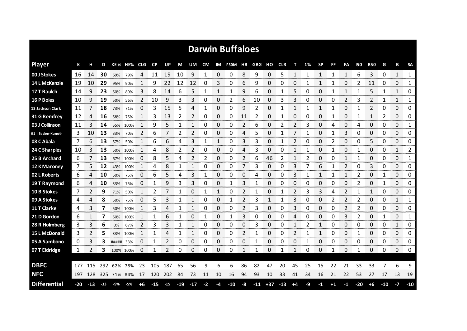|                     |     |       |     |           |             |          |           |       |       |       |              |              | <b>Darwin Buffaloes</b> |          |       |              |            |      |    |              |             |              |              |                         |       |                          |                        |
|---------------------|-----|-------|-----|-----------|-------------|----------|-----------|-------|-------|-------|--------------|--------------|-------------------------|----------|-------|--------------|------------|------|----|--------------|-------------|--------------|--------------|-------------------------|-------|--------------------------|------------------------|
| <b>Player</b>       | К   |       | D   |           | KE% HE% CLG |          | <b>CP</b> | UP    | М     | UM    | CM           |              | IM F50M HR              |          | GBG   | но           | <b>CLR</b> | т    | 1% | <b>SP</b>    | FF          | FA           | 150          | <b>R50</b>              | G     | В                        | <b>SA</b>              |
| 00 J Stokes         | 16  | 14    | 30  | 69%       | 79%         | 4        | 11        | 19    | 10    | 9     | 1            | 0            | 0                       | 8        | 9     | 0            | 5          | 1    | 1  | 1            | 1           | 1            | 6            | 3                       | 0     | $\mathbf{1}$             | 1                      |
| 14 L McKenzie       | 19  | 10    | 29  | 95%       | 90%         | 1        | 9         | 22    | 12    | 12    | 0            | 3            | 0                       | 6        | 9     | 0            | 0          | 0    | 1  | 1            | 1           | 0            | 2            | 11                      | 0     | 0                        | 1                      |
| 17 T Baulch         | 14  | 9     | 23  | 50%       | 89%         | 3        | 8         | 14    | 6     | 5     | 1            | 1            | 1                       | 9        | 6     | 0            | 1          | 5    | 0  | 0            | 1           | 1            | 1            | 5                       | 1     | $\mathbf{1}$             | 0                      |
| 16 P Boles          | 10  | 9     | 19  | 50%       | 56%         | 2        | 10        | 9     | 3     | 3     | 0            | 0            | 2                       | 6        | 10    | 0            | 3          | 3    | 0  | 0            | 0           | 2            | 3            | 2                       | 1     | 1                        | 1                      |
| 13 Jackson Clark    | 11  | 7     | 18  | 73%       | 71%         | $\Omega$ | 3         | 15    | 5     | 4     | 1            | $\Omega$     | 0                       | 9        | 2     | 0            | 1          | 1    | 1  | $\mathbf{1}$ | 1           | 0            | 1            | $\overline{2}$          | 0     | $\Omega$                 | 0                      |
| 31 G Remfrey        | 12  | 4     | 16  | 58%       | 75%         | 1        | 3         | 13    | 2     | 2     | 0            | 0            | 0                       | 11       | 2     | 0            | 1          | 0    | 0  | 0            | 1           | 0            | $\mathbf{1}$ | $\mathbf{1}$            | 2     | $\Omega$                 | 0                      |
| 03 J Collinson      | 11  | 3     | 14  | 55%       | 100%        |          | 9         | 5     | 1     | 1     | 0            | 0            | 0                       | 2        | 6     | 0            | 2          | 2    | 3  | 0            | 4           | 0            | 4            | 0                       | 0     | 0                        | 1                      |
| 01   Seden-Kunoth   | 3   | 10    | 13  | 33%       | 70%         | 2        | 6         | 7     | 2     | 2     | 0            | 0            | 0                       | 4        | 5     | 0            |            | 7    | 1  | 0            | 1           | 3            | 0            | 0                       | 0     | 0                        | 0                      |
| 08 C Abala          | 7   | 6     | 13  | 57%       | 50%         |          | 6         | 6     | 4     | 3     |              | 1            | 0                       | 3        | 3     | 0            |            | 2    | 0  | 0            | 2           | 0            | 0            | 5                       | 0     | 0                        | 0                      |
| 24 C Sharples       | 10  | 3     | 13  | 50%       | 100%        | 1        | 4         | 8     | 2     | 2     | 0            | 0            | 0                       | 4        | 3     | 0            | 0          |      |    | 0            |             | 0            | 1            | 0                       | 0     | 1                        | 2                      |
| 25 B Archard        | 6   |       | 13  | 67%       | 100%        | 0        | 8         | 5     | 4     | 2     | 2            | 0            | 0                       | 2        | 6     | 46           | 2          |      | 2  | 0            | 0           | 1            |              | 0                       | 0     | 0                        | 1                      |
| 12 K Maroney        | 7   | 5     | 12  | 43%       | 100%        |          | 4         | 8     | 1     | 1     | 0            | 0            | 0                       | 7        | 3     | 0            | 0          | 3    |    | 6            |             | 2            | 0            | 3                       | 0     | 0                        | 0                      |
| 02 L Roberts        | 6   | 4     | 10  | 50%       | 75%         | 0        | 6         | 5     | 4     | 3     | 1            | 0            | 0                       | $\Omega$ | 4     | 0            | 0          | 3    |    | 1            |             | $\mathbf{1}$ | 2            | 0                       |       | 0                        | 0                      |
| 19 T Raymond        | 6   | 4     | 10  | 33%       | 75%         | 0        | 1         | 9     | 3     | 3     | 0            | 0            | 1                       | 3        | 1     | 0            | 0          | 0    | 0  | 0            | 0           | 0            | 2            | 0                       | 1     | 0                        | 0                      |
| 10 B Stokes         | 7   | 2     | 9   | 71%       | 50%         |          | 2         |       |       | 0     |              |              | 0                       | 2        |       | 0            |            | 2    | 3  | 3            | 4           | 2            |              | 1                       | 0     | 0                        | 0                      |
| 09 A Stokes         | 4   | 4     | 8   | 50%       | 75%         | 0        | 5         | 3     |       | 1     | 0            | 0            | 1                       | 2        | 3     | 1            |            | 3    | 0  | 0            | 2           | 2            | 2            | 0                       | 0     | 1                        | 1                      |
| 11 T Clarke         | 4   | 3     | 7   | 50%       | 100%        | 1        | 3         | 4     | 1     | 1     | 0            | 0            | 0                       | 2        | 3     | 0            | 0          | 3    | 0  | 0            | 0           | 2            | 2            | 0                       | 0     | 0                        | 0                      |
| 21 D Gordon         | 6   |       | 7   | 50%       | 100%        | -1       |           | 6     |       | 0     |              | 0            | 1                       | 3        | 0     | 0            | 0          | 4    | 0  | 0            | Ω           | 3            | 2            | 0                       |       | 0                        | 1                      |
| 28 R Holmberg       | 3   | 3     | 6   | 0%        | 67%         | 2        | 3         | 3     | 1     |       | 0            | 0            | 0                       | 0        | 3     | 0            | 0          |      | 2  | 1            | 0           | 0            | 0            | 0                       | 0     | 1                        | 0                      |
| 15 L McDonald       | 3   |       | 5   | 33%       | 100%        |          |           | Δ     |       |       | 0<br>anana a | 0<br>ana ara | 0                       | 2        |       | 0<br>manan a | 0          | 2    |    |              | Ω           | 0            | 1            | 0<br><b>DESCRIPTION</b> | 0     | 0<br><b>The Contract</b> | 0<br><b>Secondo Co</b> |
| 05 A Sambono        | 0   | 3     | 3   | ##### 33% |             | 0        |           | 2     | 0     | 0     | 0            | 0            | 0                       | 0        |       | 0            | 0          | 0    |    | 0            | 0           | 0            | 0            | 0                       | 0     | 0                        | 0                      |
| 07 T Eldridge       | 1   | 2     | з   | 100% 100% |             | 0        | 1         |       | 0     | 0     | 0            | 0            | 0                       | 1        | 1     | 0            | 1          | 1    | 0  | 0            |             | 0            | 1            | 0                       | 0     | 0                        | 0                      |
|                     |     |       |     |           |             |          |           |       |       |       |              |              |                         |          |       |              |            |      |    |              |             |              |              |                         |       |                          |                        |
| <b>DBFC</b>         | 177 | 115   | 292 | 62% 78%   |             | 23       | 105       | 187   | 65    | 56    | 9            | 6            | 6                       | 86       | 82    | 47           | 20         | 45   | 25 | 15           | 22          | 21           | 33           | 33                      |       | 6                        | 9                      |
| <b>NFC</b>          | 197 | 128   | 325 | 71% 84%   |             | 17       | 120       | 202   | 84    | 73    | 11           | 10           | 16                      | 94       | 93    | 10           | 33         | 41   | 34 | 16           | 21          | 22           | 53           | 27                      | 17    | 13                       | 19                     |
| <b>Differential</b> | -20 | $-13$ | 33  | -9%       | $-5%$       | +6       | $-15$     | $-15$ | $-19$ | $-17$ | $-2$         | -4           | $-10$                   | -8       | $-11$ | $+37$        | $-13$      | $+4$ | -9 | $-1$         | $^{\bf +1}$ | $-1$         | $-20$        | +6                      | $-10$ | $-7$                     | $-10$                  |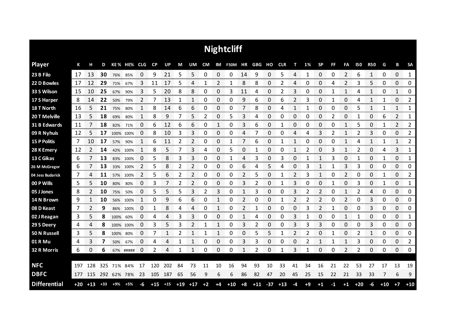|                     |       |       |       |             |             |    |       |       |       |       |      |              | <b>Nightcliff</b> |      |        |             |            |    |      |           |    |                |            |            |       |                |           |
|---------------------|-------|-------|-------|-------------|-------------|----|-------|-------|-------|-------|------|--------------|-------------------|------|--------|-------------|------------|----|------|-----------|----|----------------|------------|------------|-------|----------------|-----------|
| <b>Player</b>       | К     | н     | D     |             | KE% HE% CLG |    | CP    | UP    | M     | UM    | CM   |              | IM F50M HR        |      | GBG HO |             | <b>CLR</b> | т  | 1%   | <b>SP</b> | FF | <b>FA</b>      | <b>I50</b> | <b>R50</b> | G     | В              | <b>SA</b> |
| 23 B Filo           | 17    | 13    | 30    | 76%         | 85%         | 0  | 9     | 21    | 5     | 5     | 0    | 0            | 0                 | 14   | 9      | 0           | 5          | 4  | -1   | 0         | 0  | $\overline{2}$ | 6          | 1          | 0     | $\mathbf 0$    | 1         |
| 22 D Bowles         | 17    | 12    | 29    | 71%         | 67%         | 3  | 11    | 17    | 5     | 4     |      | 2            |                   | 8    | 8      | 0           |            | 4  | Ω    | 0         | Δ  | 2              | 3          | 5          | 0     | 0              | 0         |
| 33 S Wilson         | 15    | 10    | 25    | 67%         | 90%         | 3  | 5     | 20    | 8     | 8     | 0    | 0            | 3                 | 11   | 4      | 0           | 2          | 3  | 0    | 0         | 1  | 1              | 4          | 1          | 0     | 1              | 0         |
| 17 S Harper         | 8     | 14    | 22    | 50%         | 79%         | 2  | 7     | 13    | 1     | 1     | 0    | 0            | 0                 | 9    | 6      | 0           | 6          | 2  | 3    | 0         | 1  | 0              | 4          | 1          | 1     | 0              | 2         |
| 18 T North          | 16    | 5     | 21    | 75%         | 80%         | 1  | 8     | 14    | 6     | 6     | 0    | 0            | 0                 | 7    | 8      | 0           | 4          | 1  | 1    | 0         | 0  | 0              | 5          | 1          | 1     | 1              | 1         |
| 20 T Melville       | 13    | 5     | 18    | 69%         | 80%         | 1  | 8     | 9     | 7     | 5     | 2    | 0            | 5                 | 3    | 4      | 0           | 0          | 0  | 0    | 0         | 2  | 0              | 1          | 0          | 6     | 2              | 1         |
| 31 B Edwards        | 11    |       | 18    | 82%         | 71%         | 0  | 6     | 12    | 6     | 6     | 0    | 1            | 0                 | 3    | 6      | 0           |            | 0  | 0    | 0         | 0  | 1              | 5          | 0          | 1     | $\overline{2}$ | 2         |
| 09 R Nyhuis         | 12    | 5     | 17    |             | 100% 100%   | 0  | 8     | 10    | 3     | 3     | 0    | 0            | 0                 | 4    |        | 0           | 0          | 4  | 4    | 3         | 2  | 1              |            | 3          | 0     | 0              | 2         |
| <b>15 P Politis</b> | 7     | 10    | 17    | 57%         | 90%         | 1  | 6     | 11    | 2     | 2     | 0    | 0            | 1                 | 7    | 6      | 0           | 1          | 1  | 0    | 0         | 0  | 1              | 4          | 1          | 1     | 1              | 2         |
| 28 K Emery          | 12    | 2     | 14    | 42%         | 100%        | 1  | 8     | 5     | 7     | 3     | 4    | 0            | 5                 | 0    |        | 0           | 0          | 1  | 2    | 0         | 3  | 1              |            | 0          | 4     | 3              | 1         |
| 13 C Gikas          | 6     |       | 13    |             | 83% 100%    | 0  | 5     | 8     | 3     | 3     | 0    | 0            | 1                 | 4    | 3      | 0           | 3          | 0  | 1    | 1         | 3  | 0              | 1          | 0          | 1     | 0              | 1         |
| 26 M McGregor       | 6     |       | 13    |             | 33% 100%    | 2  | 5     | 8     | 2     | 2     | 0    | 0            | 0                 | 6    | 4      | 5           | 4          | 0  | 3    | 1         |    | 3              | 3          | 0          | 0     | 0              | 0         |
| 04 Jess Budarick    | 7     | 4     | 11    |             | 57% 100%    | 2  | 5     | 6     | 2     | 2     | 0    | $\Omega$     | 0                 | 2    | 5      | $\mathbf 0$ | 1          | 2  | 3    | 1         | 0  | $\overline{2}$ | 0          | 0          | 1     | 0              | 2         |
| 00 P Wills          | 5     | 5     | 10    | 80%         | 80%         | 0  | 3     |       | 2     | 2     | 0    | 0            | 0                 | 3    | 2      | 0           |            | 3  | 0    | 0         | 1  | 0              | 3          | 0          | 1     | 0              | 1         |
| 05 J Jones          | 8     | 2     | 10    | 75%         | 50%         | 0  | 5     | 5     | 5     | 3     | 2    | 3            | 0                 | 1    | 3      | 0           | 0          | 3  | 2    | 2         | 0  | 1              | 2          | 4          | 0     | 0              | 0         |
| 14 N Brown          | 9     | 1     | 10    |             | 56% 100%    | 1  | 0     | 9     | 6     | 6     | 0    | 1            | 0                 | 2    | 0      | 0           | 1          | 2  | 2    | 2         | 0  | 2              | 0          | 3          | 0     | 0              | 0         |
| 08 D Keast          | 7     | 2     | 9     | 86%         | 100%        | 0  | 1     | 8     | 4     | 4     | 0    | 1            | 0                 | 2    | 1      | 0           | 0          | 0  | 3    | 2         | 1  | 0              | 0          | 3          | 0     | 0              | 0         |
| 02 J Reagan         | 3     | 5     | 8     | 100%        | 60%         | 0  | 4     | 4     | 3     | 3     | 0    | 0            | 0                 | 1    | 4      | 0           | 0          | 3  | 1    | 0         | 0  | 1              | 1          | 0          | 0     | 0              | 1         |
| 29 S Deery          | 4     | 4     | 8     |             | 100% 100%   | 0  | 3     | 5     | 3     | 2     | 1    | $\mathbf{1}$ | 0                 | 3    | 2      | 0           | 0          | 3  | 3    | 3         | 0  | 0              | 0          | 3          | 0     | 0              | 0         |
| 50 N Russell        | 3     | 5     | 8     | 100% 80%    |             | 0  | 7     | 1     | 2     | 1     | 1    | 1            | 0                 | 0    | 5      | 5           | 1          | 2  | 2    | 0         | 1  | 0              | 2          | 1          | 0     | 0              | 0         |
| 01 R Mu             | 4     | 3     | 7     | 50%         | 67%         | 0  | 4     | 4     | 1     | 1     | 0    | 0            | 0                 | 3    | 3      | 0           | 0          | 0  | 2    | 1         | 1  | 1              | 3          | 0          | 0     | 0              | 2         |
| 32 R Morris         | 6     | 0     | 6     |             | 67% #####   | 0  | 2     | 4     | 1     | 1     | 0    | 0            | 0                 | 1    | 2      | 0           | 1          | 3  | 1    | 0         | 0  | 2              | 2          | 0          | 0     | 0              | 0         |
|                     |       |       |       |             |             |    |       |       |       |       |      |              |                   |      |        |             |            |    |      |           |    |                |            |            |       |                |           |
| <b>NFC</b>          | 197   | 128   | 325   | 71%         | 84%         | 17 | 120   | 202   | 84    | 73    | 11   | 10           | 16                | 94   | 93     | 10          | 33         | 41 | 34   | 16        | 21 | 22             | 53         | 27         | 17    | 13             | 19        |
| <b>DBFC</b>         | 177   | 115   |       | 292 62% 78% |             | 23 | 105   | 187   | 65    | 56    | 9    | 6            | 6                 | 86   | 82     | 47          | 20         | 45 | 25   | 15        | 22 | 21             | 33         | 33         | 7     | 6              | 9         |
| <b>Differential</b> | $+20$ | $+13$ | $+33$ | +9%         | $+5%$       | -6 | $+15$ | $+15$ | $+19$ | $+17$ | $+2$ | $+4$         | $+10$             | $+8$ | $+11$  | $-37$       | $+13$      | -4 | $+9$ | $+1$      | -1 | $+1$           | $+20$      | $-6$       | $+10$ | $+7$           | $+10$     |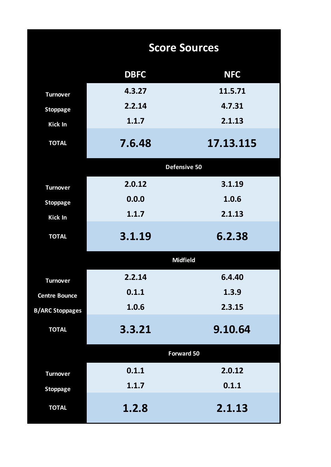|                        |             | <b>Score Sources</b> |
|------------------------|-------------|----------------------|
|                        | <b>DBFC</b> | <b>NFC</b>           |
| <b>Turnover</b>        | 4.3.27      | 11.5.71              |
| <b>Stoppage</b>        | 2.2.14      | 4.7.31               |
| Kick In                | 1.1.7       | 2.1.13               |
| <b>TOTAL</b>           | 7.6.48      | 17.13.115            |
|                        |             | Defensive 50         |
| <b>Turnover</b>        | 2.0.12      | 3.1.19               |
| <b>Stoppage</b>        | 0.0.0       | 1.0.6                |
| Kick In                | 1.1.7       | 2.1.13               |
| <b>TOTAL</b>           | 3.1.19      | 6.2.38               |
|                        |             | <b>Midfield</b>      |
| <b>Turnover</b>        | 2.2.14      | 6.4.40               |
| <b>Centre Bounce</b>   | 0.1.1       | 1.3.9                |
| <b>B/ARC Stoppages</b> | 1.0.6       | 2.3.15               |
| <b>TOTAL</b>           | 3.3.21      | 9.10.64              |
|                        |             | <b>Forward 50</b>    |
| <b>Turnover</b>        | 0.1.1       | 2.0.12               |
| <b>Stoppage</b>        | 1.1.7       | 0.1.1                |
| <b>TOTAL</b>           | 1.2.8       | 2.1.13               |